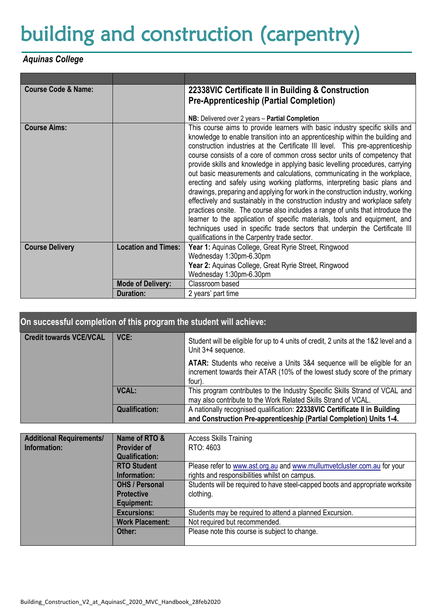## building and construction (carpentry)

## *Aquinas College*

| <b>Course Code &amp; Name:</b> | 22338VIC Certificate II in Building & Construction |                                                                                                                                                            |  |
|--------------------------------|----------------------------------------------------|------------------------------------------------------------------------------------------------------------------------------------------------------------|--|
|                                |                                                    | <b>Pre-Apprenticeship (Partial Completion)</b>                                                                                                             |  |
|                                |                                                    |                                                                                                                                                            |  |
|                                |                                                    | NB: Delivered over 2 years - Partial Completion                                                                                                            |  |
| <b>Course Aims:</b>            |                                                    | This course aims to provide learners with basic industry specific skills and                                                                               |  |
|                                |                                                    | knowledge to enable transition into an apprenticeship within the building and                                                                              |  |
|                                |                                                    | construction industries at the Certificate III level. This pre-apprenticeship                                                                              |  |
|                                |                                                    | course consists of a core of common cross sector units of competency that<br>provide skills and knowledge in applying basic levelling procedures, carrying |  |
|                                |                                                    | out basic measurements and calculations, communicating in the workplace,                                                                                   |  |
|                                |                                                    | erecting and safely using working platforms, interpreting basic plans and                                                                                  |  |
|                                |                                                    | drawings, preparing and applying for work in the construction industry, working                                                                            |  |
|                                |                                                    | effectively and sustainably in the construction industry and workplace safety                                                                              |  |
|                                |                                                    | practices onsite. The course also includes a range of units that introduce the                                                                             |  |
|                                |                                                    | learner to the application of specific materials, tools and equipment, and                                                                                 |  |
|                                |                                                    | techniques used in specific trade sectors that underpin the Certificate III                                                                                |  |
|                                |                                                    | qualifications in the Carpentry trade sector.                                                                                                              |  |
| <b>Course Delivery</b>         | <b>Location and Times:</b>                         | Year 1: Aquinas College, Great Ryrie Street, Ringwood                                                                                                      |  |
|                                |                                                    | Wednesday 1:30pm-6.30pm                                                                                                                                    |  |
|                                |                                                    | Year 2: Aquinas College, Great Ryrie Street, Ringwood                                                                                                      |  |
|                                |                                                    | Wednesday 1:30pm-6.30pm                                                                                                                                    |  |
|                                | <b>Mode of Delivery:</b>                           | Classroom based                                                                                                                                            |  |
|                                | <b>Duration:</b>                                   | 2 years' part time                                                                                                                                         |  |

| On successful completion of this program the student will achieve: |                       |                                                                                                                                                                |  |
|--------------------------------------------------------------------|-----------------------|----------------------------------------------------------------------------------------------------------------------------------------------------------------|--|
| <b>Credit towards VCE/VCAL</b>                                     | VCE:                  | Student will be eligible for up to 4 units of credit, 2 units at the 1&2 level and a<br>Unit 3+4 sequence.                                                     |  |
|                                                                    |                       | ATAR: Students who receive a Units 3&4 sequence will be eligible for an<br>increment towards their ATAR (10% of the lowest study score of the primary<br>four) |  |
|                                                                    | <b>VCAL:</b>          | This program contributes to the Industry Specific Skills Strand of VCAL and<br>may also contribute to the Work Related Skills Strand of VCAL.                  |  |
|                                                                    | <b>Qualification:</b> | A nationally recognised qualification: 22338VIC Certificate II in Building<br>and Construction Pre-apprenticeship (Partial Completion) Units 1-4.              |  |

| <b>Additional Requirements/</b> | Name of RTO &          | <b>Access Skills Training</b>                                                 |  |
|---------------------------------|------------------------|-------------------------------------------------------------------------------|--|
| Information:                    | <b>Provider of</b>     | RTO: 4603                                                                     |  |
|                                 | <b>Qualification:</b>  |                                                                               |  |
|                                 | <b>RTO Student</b>     | Please refer to www.ast.org.au and www.mullumvetcluster.com.au for your       |  |
|                                 | Information:           | rights and responsibilities whilst on campus.                                 |  |
|                                 | <b>OHS / Personal</b>  | Students will be required to have steel-capped boots and appropriate worksite |  |
|                                 | <b>Protective</b>      | clothing.                                                                     |  |
|                                 | Equipment:             |                                                                               |  |
|                                 | <b>Excursions:</b>     | Students may be required to attend a planned Excursion.                       |  |
|                                 | <b>Work Placement:</b> | Not required but recommended.                                                 |  |
|                                 | Other:                 | Please note this course is subject to change.                                 |  |
|                                 |                        |                                                                               |  |